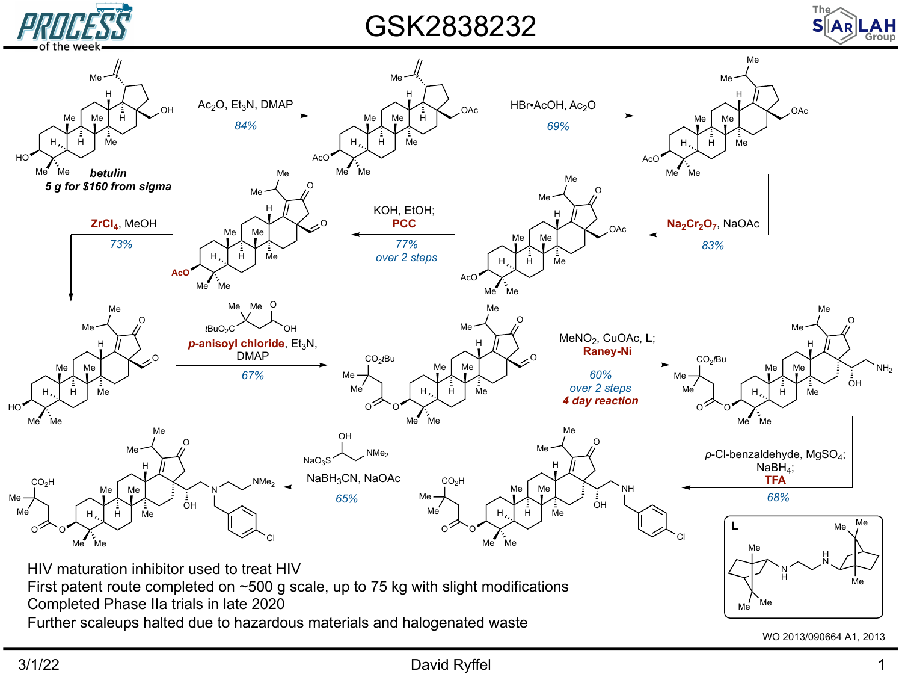

GSK2838232



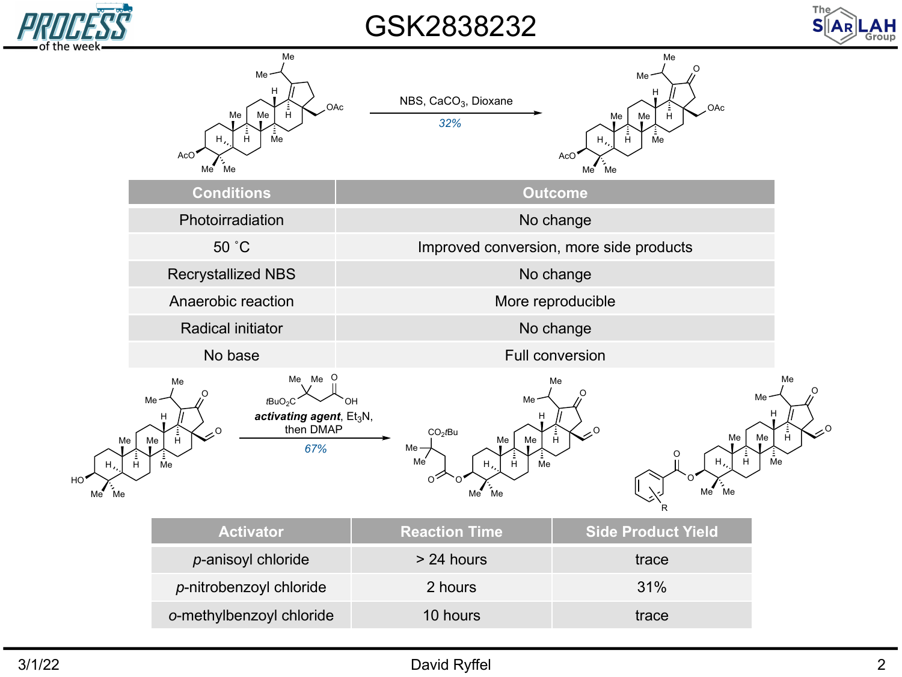

GSK2838232